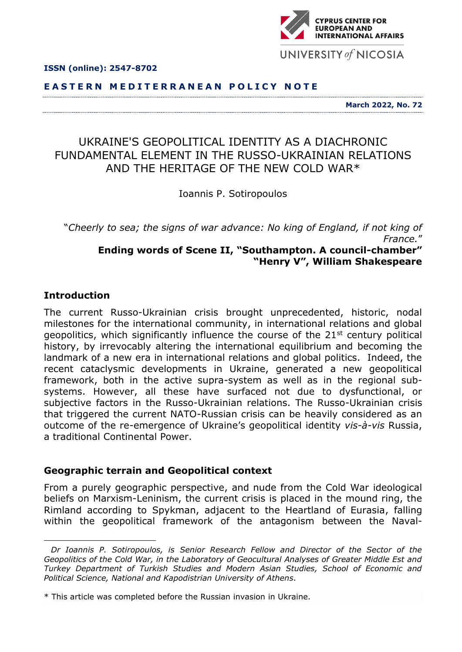

#### **E A S T E R N M E D I T E R R A N E A N P O L I C Y N O T E**

**March 2022, No. 72**

# UKRAINE'S GEOPOLITICAL IDENTITY AS A DIACHRONIC FUNDAMENTAL ELEMENT IN THE RUSSO-UKRAINIAN RELATIONS AND THE HERITAGE OF THE NEW COLD WAR\*

Ioannis P. Sotiropoulos

"*Cheerly to sea; the signs of war advance: No king of England, if not king of France.*" **Ending words of Scene II, "Southampton. A council-chamber"**

**"Henry V", William Shakespeare**

#### **Introduction**

The current Russo-Ukrainian crisis brought unprecedented, historic, nodal milestones for the international community, in international relations and global geopolitics, which significantly influence the course of the 21<sup>st</sup> century political history, by irrevocably altering the international equilibrium and becoming the landmark of a new era in international relations and global politics. Indeed, the recent cataclysmic developments in Ukraine, generated a new geopolitical framework, both in the active supra-system as well as in the regional subsystems. However, all these have surfaced not due to dysfunctional, or subjective factors in the Russo-Ukrainian relations. The Russo-Ukrainian crisis that triggered the current NATO-Russian crisis can be heavily considered as an outcome of the re-emergence of Ukraine's geopolitical identity *vis-à-vis* Russia, a traditional Continental Power.

#### **Geographic terrain and Geopolitical context**

From a purely geographic perspective, and nude from the Cold War ideological beliefs on Marxism-Leninism, the current crisis is placed in the mound ring, the Rimland according to Spykman, adjacent to the Heartland of Eurasia, falling within the geopolitical framework of the antagonism between the Naval-



*Dr Ioannis P. Sotiropoulos, is Senior Research Fellow and Director of the Sector of the Geopolitics of the Cold War, in the Laboratory of Geocultural Analyses of Greater Middle Est and Turkey Department of Turkish Studies and Modern Asian Studies, School of Economic and Political Science, National and Kapodistrian University of Athens.*

<sup>\*</sup> This article was completed before the Russian invasion in Ukraine.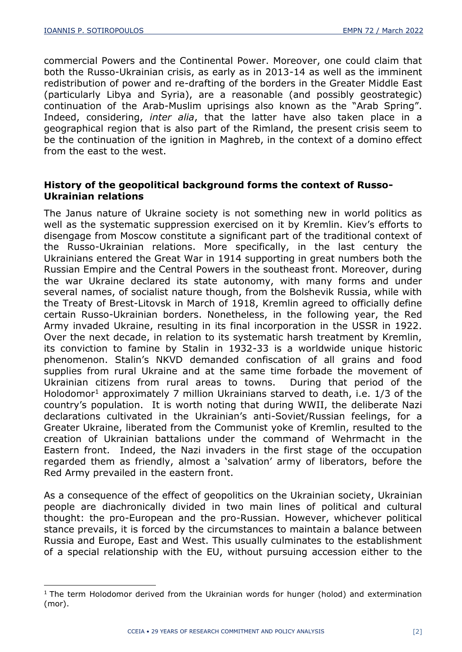commercial Powers and the Continental Power. Moreover, one could claim that both the Russo-Ukrainian crisis, as early as in 2013-14 as well as the imminent redistribution of power and re-drafting of the borders in the Greater Middle East (particularly Libya and Syria), are a reasonable (and possibly geostrategic) continuation of the Arab-Muslim uprisings also known as the "Arab Spring". Indeed, considering, *inter alia*, that the latter have also taken place in a geographical region that is also part of the Rimland, the present crisis seem to be the continuation of the ignition in Maghreb, in the context of a domino effect from the east to the west.

## **History of the geopolitical background forms the context of Russo-Ukrainian relations**

The Janus nature of Ukraine society is not something new in world politics as well as the systematic suppression exercised on it by Kremlin. Kiev's efforts to disengage from Moscow constitute a significant part of the traditional context of the Russo-Ukrainian relations. More specifically, in the last century the Ukrainians entered the Great War in 1914 supporting in great numbers both the Russian Empire and the Central Powers in the southeast front. Moreover, during the war Ukraine declared its state autonomy, with many forms and under several names, of socialist nature though, from the Bolshevik Russia, while with the Treaty of Brest-Litovsk in March of 1918, Kremlin agreed to officially define certain Russo-Ukrainian borders. Nonetheless, in the following year, the Red Army invaded Ukraine, resulting in its final incorporation in the USSR in 1922. Over the next decade, in relation to its systematic harsh treatment by Kremlin, its conviction to famine by Stalin in 1932-33 is a worldwide unique historic phenomenon. Stalin's NKVD demanded confiscation of all grains and food supplies from rural Ukraine and at the same time forbade the movement of Ukrainian citizens from rural areas to towns. During that period of the Holodomor<sup>1</sup> approximately 7 million Ukrainians starved to death, i.e.  $1/3$  of the country's population. It is worth noting that during WWII, the deliberate Nazi declarations cultivated in the Ukrainian's anti-Soviet/Russian feelings, for a Greater Ukraine, liberated from the Communist yoke of Kremlin, resulted to the creation of Ukrainian battalions under the command of Wehrmacht in the Eastern front. Indeed, the Nazi invaders in the first stage of the occupation regarded them as friendly, almost a 'salvation' army of liberators, before the Red Army prevailed in the eastern front.

As a consequence of the effect of geopolitics on the Ukrainian society, Ukrainian people are diachronically divided in two main lines of political and cultural thought: the pro-European and the pro-Russian. However, whichever political stance prevails, it is forced by the circumstances to maintain a balance between Russia and Europe, East and West. This usually culminates to the establishment of a special relationship with the EU, without pursuing accession either to the

<sup>&</sup>lt;sup>1</sup> The term Holodomor derived from the Ukrainian words for hunger (holod) and extermination (mor).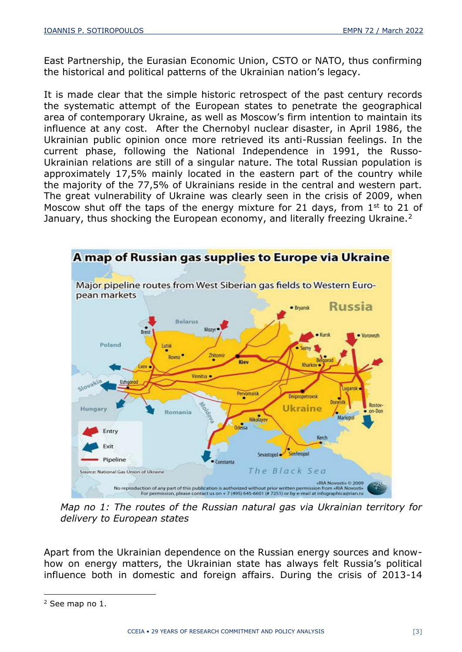East Partnership, the Eurasian Economic Union, CSTO or NATO, thus confirming the historical and political patterns of the Ukrainian nation's legacy.

It is made clear that the simple historic retrospect of the past century records the systematic attempt of the European states to penetrate the geographical area of contemporary Ukraine, as well as Moscow's firm intention to maintain its influence at any cost. After the Chernobyl nuclear disaster, in April 1986, the Ukrainian public opinion once more retrieved its anti-Russian feelings. In the current phase, following the National Independence in 1991, the Russo-Ukrainian relations are still of a singular nature. The total Russian population is approximately 17,5% mainly located in the eastern part of the country while the majority of the 77,5% of Ukrainians reside in the central and western part. The great vulnerability of Ukraine was clearly seen in the crisis of 2009, when Moscow shut off the taps of the energy mixture for 21 days, from  $1<sup>st</sup>$  to 21 of January, thus shocking the European economy, and literally freezing Ukraine.<sup>2</sup>



*Map no 1: The routes of the Russian natural gas via Ukrainian territory for delivery to European states* 

Apart from the Ukrainian dependence on the Russian energy sources and knowhow on energy matters, the Ukrainian state has always felt Russia's political influence both in domestic and foreign affairs. During the crisis of 2013-14

<sup>2</sup> See map no 1.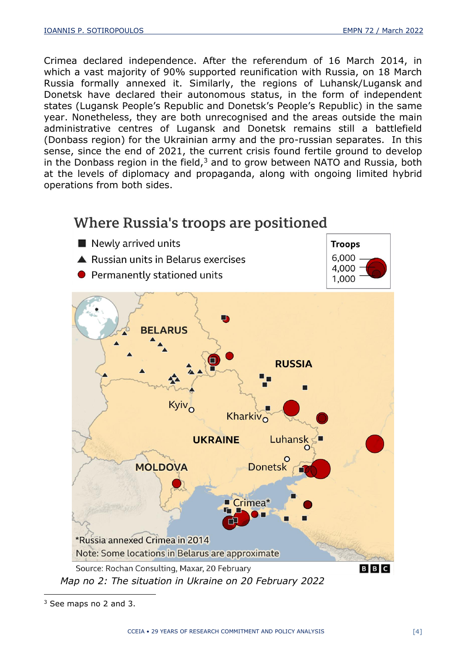Crimea declared independence. After the referendum of 16 March 2014, in which a vast majority of 90% supported reunification with Russia, on 18 March Russia formally annexed it. Similarly, the regions of Luhansk/Lugansk and Donetsk have declared their autonomous status, in the form of independent states (Lugansk People's Republic and Donetsk's People's Republic) in the same year. Nonetheless, they are both unrecognised and the areas outside the main administrative centres of Lugansk and Donetsk remains still a battlefield (Donbass region) for the Ukrainian army and the pro-russian separates. In this sense, since the end of 2021, the current crisis found fertile ground to develop in the Donbass region in the field, $3$  and to grow between NATO and Russia, both at the levels of diplomacy and propaganda, along with ongoing limited hybrid operations from both sides.



<sup>3</sup> See maps no 2 and 3.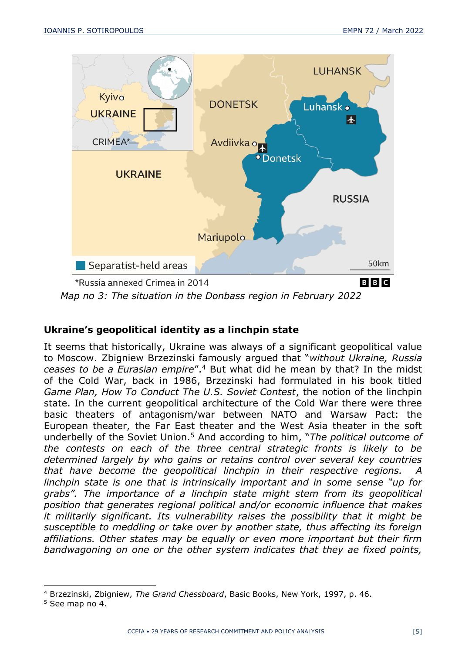

# **Ukraine's geopolitical identity as a linchpin state**

It seems that historically, Ukraine was always of a significant geopolitical value to Moscow. Zbigniew Brzezinski famously argued that "*without Ukraine, Russia ceases to be a Eurasian empire*".<sup>4</sup> But what did he mean by that? In the midst of the Cold War, back in 1986, Brzezinski had formulated in his book titled *Game Plan, How To Conduct The U.S. Soviet Contest*, the notion of the linchpin state. In the current geopolitical architecture of the Cold War there were three basic theaters of antagonism/war between NATO and Warsaw Pact: the European theater, the Far East theater and the West Asia theater in the soft underbelly of the Soviet Union.<sup>5</sup> And according to him, "*The political outcome of the contests on each of the three central strategic fronts is likely to be determined largely by who gains or retains control over several key countries that have become the geopolitical linchpin in their respective regions. A linchpin state is one that is intrinsically important and in some sense "up for grabs". The importance of a linchpin state might stem from its geopolitical position that generates regional political and/or economic influence that makes it militarily significant. Its vulnerability raises the possibility that it might be susceptible to meddling or take over by another state, thus affecting its foreign affiliations. Other states may be equally or even more important but their firm bandwagoning on one or the other system indicates that they ae fixed points,* 

<sup>4</sup> Brzezinski, Zbigniew, *The Grand Chessboard*, Basic Books, New York, 1997, p. 46.

<sup>5</sup> See map no 4.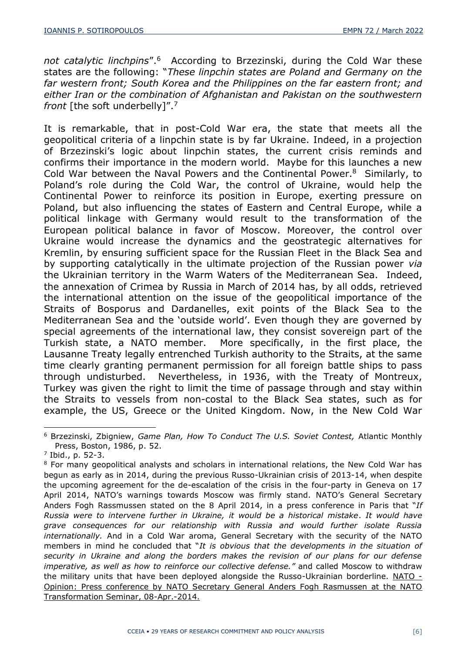not catalytic linchpins".<sup>6</sup> According to Brzezinski, during the Cold War these states are the following: "*These linpchin states are Poland and Germany on the far western front; South Korea and the Philippines on the far eastern front; and either Iran or the combination of Afghanistan and Pakistan on the southwestern front* [the soft underbelly]".<sup>7</sup>

It is remarkable, that in post-Cold War era, the state that meets all the geopolitical criteria of a linpchin state is by far Ukraine. Indeed, in a projection of Brzezinski's logic about linpchin states, the current crisis reminds and confirms their importance in the modern world. Maybe for this launches a new Cold War between the Naval Powers and the Continental Power.<sup>8</sup> Similarly, to Poland's role during the Cold War, the control of Ukraine, would help the Continental Power to reinforce its position in Europe, exerting pressure on Poland, but also influencing the states of Eastern and Central Europe, while a political linkage with Germany would result to the transformation of the European political balance in favor of Moscow. Moreover, the control over Ukraine would increase the dynamics and the geostrategic alternatives for Kremlin, by ensuring sufficient space for the Russian Fleet in the Black Sea and by supporting catalytically in the ultimate projection of the Russian power *via* the Ukrainian territory in the Warm Waters of the Mediterranean Sea. Indeed, the annexation of Crimea by Russia in March of 2014 has, by all odds, retrieved the international attention on the issue of the geopolitical importance of the Straits of Bosporus and Dardanelles, exit points of the Black Sea to the Mediterranean Sea and the 'outside world'. Even though they are governed by special agreements of the international law, they consist sovereign part of the Turkish state, a NATO member. More specifically, in the first place, the Lausanne Treaty legally entrenched Turkish authority to the Straits, at the same time clearly granting permanent permission for all foreign battle ships to pass through undisturbed. Nevertheless, in 1936, with the Treaty of Montreux, Turkey was given the right to limit the time of passage through and stay within the Straits to vessels from non-costal to the Black Sea states, such as for example, the US, Greece or the United Kingdom. Now, in the New Cold War

<sup>6</sup> Brzezinski, Zbigniew, *Game Plan, How To Conduct The U.S. Soviet Contest,* Atlantic Monthly Press, Boston, 1986, p. 52.

<sup>7</sup> Ibid., p. 52-3.

<sup>&</sup>lt;sup>8</sup> For many geopolitical analysts and scholars in international relations, the New Cold War has begun as early as in 2014, during the previous Russo-Ukrainian crisis of 2013-14, when despite the upcoming agreement for the de-escalation of the crisis in the four-party in Geneva on 17 April 2014, NATO's warnings towards Moscow was firmly stand. NATO's General Secretary Anders Fogh Rassmussen stated on the 8 April 2014, in a press conference in Paris that "*If Russia were to intervene further in Ukraine, it would be a historical mistake*. *It would have grave consequences for our relationship with Russia and would further isolate Russia internationally.* And in a Cold War aroma, General Secretary with the security of the NATO members in mind he concluded that "*It is obvious that the developments in the situation of security in Ukraine and along the borders makes the revision of our plans for our defense imperative, as well as how to reinforce our collective defense."* and called Moscow to withdraw the military units that have been deployed alongside the Russo-Ukrainian borderline. [NATO -](https://www.nato.int/cps/fr/natohq/opinions_108933.htm) [Opinion: Press conference by NATO Secretary General Anders Fogh Rasmussen at the NATO](https://www.nato.int/cps/fr/natohq/opinions_108933.htm)  [Transformation Seminar, 08-Apr.-2014.](https://www.nato.int/cps/fr/natohq/opinions_108933.htm)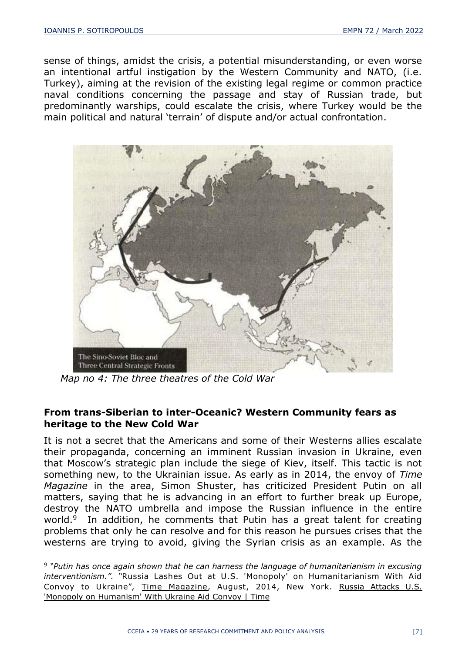sense of things, amidst the crisis, a potential misunderstanding, or even worse an intentional artful instigation by the Western Community and NATO, (i.e. Turkey), aiming at the revision of the existing legal regime or common practice naval conditions concerning the passage and stay of Russian trade, but predominantly warships, could escalate the crisis, where Turkey would be the main political and natural 'terrain' of dispute and/or actual confrontation.



*Map no 4: The three theatres of the Cold War*

## **From trans-Siberian to inter-Oceanic? Western Community fears as heritage to the New Cold War**

It is not a secret that the Americans and some of their Westerns allies escalate their propaganda, concerning an imminent Russian invasion in Ukraine, even that Moscow's strategic plan include the siege of Kiev, itself. This tactic is not something new, to the Ukrainian issue. As early as in 2014, the envoy of *Time Magazine* in the area, Simon Shuster, has criticized President Putin on all matters, saying that he is advancing in an effort to further break up Europe, destroy the NATO umbrella and impose the Russian influence in the entire world.<sup>9</sup> In addition, he comments that Putin has a great talent for creating problems that only he can resolve and for this reason he pursues crises that the westerns are trying to avoid, giving the Syrian crisis as an example. As the

<sup>9</sup> *"Putin has once again shown that he can harness the language of humanitarianism in excusing interventionism.". "*Russia Lashes Out at U.S. 'Monopoly' on Humanitarianism With Aid Convoy to Ukraine", Time Magazine, August, 2014, New York. Russia Attacks U.S. ['Monopoly on Humanism' With Ukraine Aid Convoy | Time](https://time.com/3166682/russia-ukraine-trucks-putin/)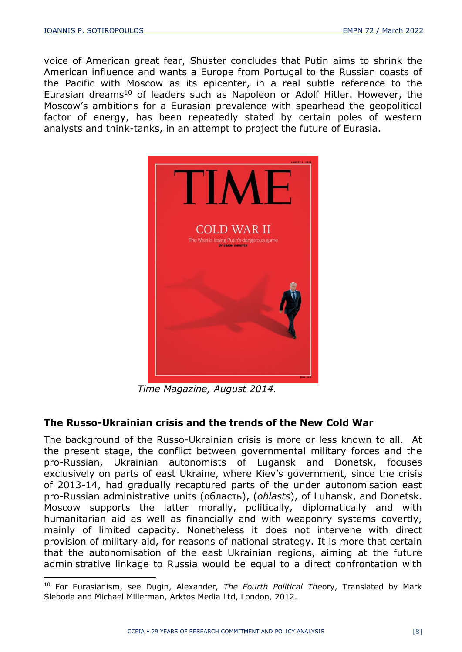voice of American great fear, Shuster concludes that Putin aims to shrink the American influence and wants a Europe from Portugal to the Russian coasts of the Pacific with Moscow as its epicenter, in a real subtle reference to the Eurasian dreams<sup>10</sup> of leaders such as Napoleon or Adolf Hitler. However, the Moscow's ambitions for a Eurasian prevalence with spearhead the geopolitical factor of energy, has been repeatedly stated by certain poles of western analysts and think-tanks, in an attempt to project the future of Eurasia.



*Time Magazine, August 2014.*

# **The Russo-Ukrainian crisis and the trends of the New Cold War**

The background of the Russo-Ukrainian crisis is more or less known to all. At the present stage, the conflict between governmental military forces and the pro-Russian, Ukrainian autonomists of Lugansk and Donetsk, focuses exclusively on parts of east Ukraine, where Kiev's government, since the crisis of 2013-14, had gradually recaptured parts of the under autonomisation east pro-Russian administrative units (область), (*oblasts*), of Luhansk, and Donetsk. Moscow supports the latter morally, politically, diplomatically and with humanitarian aid as well as financially and with weaponry systems covertly, mainly of limited capacity. Nonetheless it does not intervene with direct provision of military aid, for reasons of national strategy. It is more that certain that the autonomisation of the east Ukrainian regions, aiming at the future administrative linkage to Russia would be equal to a direct confrontation with

<sup>10</sup> For Eurasianism, see Dugin, Alexander, *The Fourth Political The*ory, Translated by Mark Sleboda and Michael Millerman, Arktos Media Ltd, London, 2012.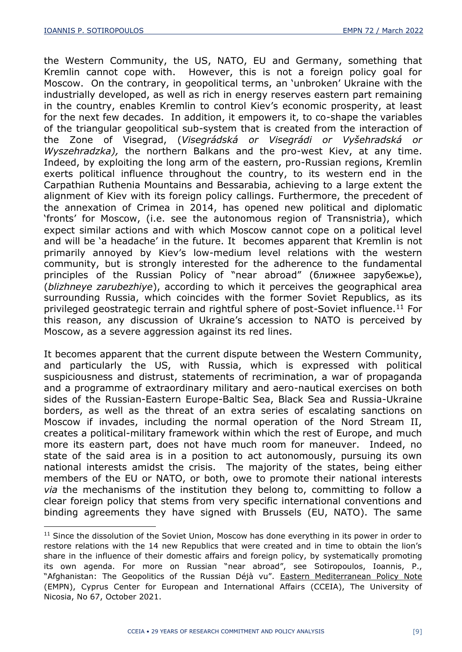the Western Community, the US, NATO, EU and Germany, something that Kremlin cannot cope with. However, this is not a foreign policy goal for Moscow. On the contrary, in geopolitical terms, an 'unbroken' Ukraine with the industrially developed, as well as rich in energy reserves eastern part remaining in the country, enables Kremlin to control Kiev's economic prosperity, at least for the next few decades. In addition, it empowers it, to co-shape the variables of the triangular geopolitical sub-system that is created from the interaction of the Zone of Visegrad, (*Visegrádská or Visegrádi or Vyšehradská or Wyszehradzka),* the northern Balkans and the pro-west Kiev, at any time. Indeed, by exploiting the long arm of the eastern, pro-Russian regions, Kremlin exerts political influence throughout the country, to its western end in the Carpathian Ruthenia Mountains and Bessarabia, achieving to a large extent the alignment of Kiev with its foreign policy callings. Furthermore, the precedent of the annexation of Crimea in 2014, has opened new political and diplomatic 'fronts' for Moscow, (i.e. see the autonomous region of Transnistria), which expect similar actions and with which Moscow cannot cope on a political level and will be 'a headache' in the future. It becomes apparent that Kremlin is not primarily annoyed by Kiev's low-medium level relations with the western community, but is strongly interested for the adherence to the fundamental principles of the Russian Policy of "near abroad" (ближнее зарубежье), (*blizhneye zarubezhiye*), according to which it perceives the geographical area surrounding Russia, which coincides with the former Soviet Republics, as its privileged geostrategic terrain and rightful sphere of post-Soviet influence.<sup>11</sup> For this reason, any discussion of Ukraine's accession to NATO is perceived by Moscow, as a severe aggression against its red lines.

It becomes apparent that the current dispute between the Western Community, and particularly the US, with Russia, which is expressed with political suspiciousness and distrust, statements of recrimination, a war of propaganda and a programme of extraordinary military and aero-nautical exercises on both sides of the Russian-Eastern Europe-Baltic Sea, Black Sea and Russia-Ukraine borders, as well as the threat of an extra series of escalating sanctions on Moscow if invades, including the normal operation of the Nord Stream II, creates a political-military framework within which the rest of Europe, and much more its eastern part, does not have much room for maneuver. Indeed, no state of the said area is in a position to act autonomously, pursuing its own national interests amidst the crisis. The majority of the states, being either members of the EU or NATO, or both, owe to promote their national interests *via* the mechanisms of the institution they belong to, committing to follow a clear foreign policy that stems from very specific international conventions and binding agreements they have signed with Brussels (EU, NATO). The same

<sup>&</sup>lt;sup>11</sup> Since the dissolution of the Soviet Union, Moscow has done everything in its power in order to restore relations with the 14 new Republics that were created and in time to obtain the lion's share in the influence of their domestic affairs and foreign policy, by systematically promoting its own agenda. For more on Russian "near abroad", see Sotiropoulos, Ioannis, P., "Afghanistan: The Geopolitics of the Russian Déjà vu". Eastern Mediterranean Policy Note (EMPN), Cyprus Center for European and International Affairs (CCEIA), The University of Nicosia, No 67, October 2021.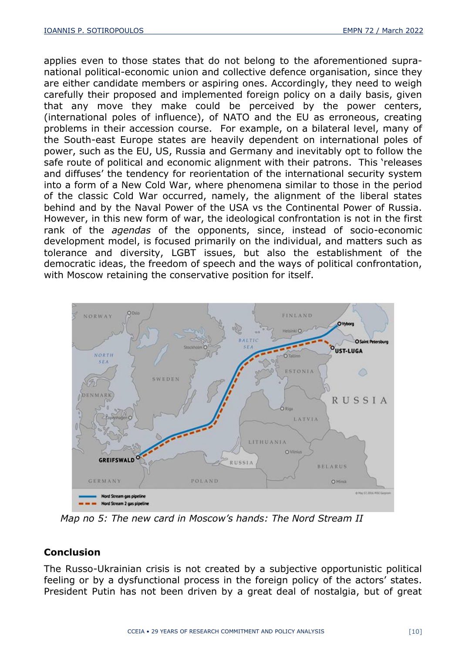applies even to those states that do not belong to the aforementioned supranational political-economic union and collective defence organisation, since they are either candidate members or aspiring ones. Accordingly, they need to weigh carefully their proposed and implemented foreign policy on a daily basis, given that any move they make could be perceived by the power centers, (international poles of influence), of NATO and the EU as erroneous, creating problems in their accession course. For example, on a bilateral level, many of the South-east Europe states are heavily dependent on international poles of power, such as the EU, US, Russia and Germany and inevitably opt to follow the safe route of political and economic alignment with their patrons. This 'releases and diffuses' the tendency for reorientation of the international security system into a form of a New Cold War, where phenomena similar to those in the period of the classic Cold War occurred, namely, the alignment of the liberal states behind and by the Naval Power of the USA vs the Continental Power of Russia. However, in this new form of war, the ideological confrontation is not in the first rank of the *agendas* of the opponents, since, instead of socio-economic development model, is focused primarily on the individual, and matters such as tolerance and diversity, LGBT issues, but also the establishment of the democratic ideas, the freedom of speech and the ways of political confrontation, with Moscow retaining the conservative position for itself.



*Map no 5: The new card in Moscow's hands: The Nord Stream II*

## **Conclusion**

The Russo-Ukrainian crisis is not created by a subjective opportunistic political feeling or by a dysfunctional process in the foreign policy of the actors' states. President Putin has not been driven by a great deal of nostalgia, but of great